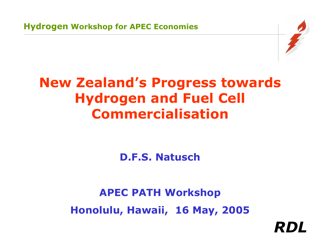

# **New Zealand's Progress towards Hydrogen and Fuel Cell Commercialisation**

**D.F.S. Natusch**

**APEC PATH Workshop Honolulu, Hawaii, 16 May, 2005**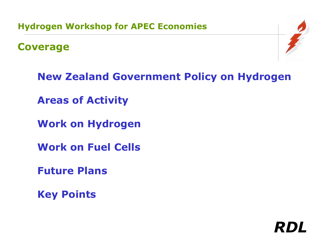**Coverage**



**New Zealand Government Policy on Hydrogen**

**Areas of Activity**

**Work on Hydrogen**

**Work on Fuel Cells**

**Future Plans**

**Key Points**

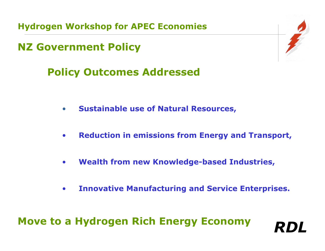**NZ Government Policy**

# **Policy Outcomes Addressed**

- $\bullet$ **Sustainable use of Natural Resources,**
- $\bullet$ **Reduction in emissions from Energy and Transport,**
- $\bullet$ **Wealth from new Knowledge-based Industries,**
- $\bullet$ **Innovative Manufacturing and Servi ce Enterprises.**

*RDL*

## **Move to a Hydrogen Rich Energy Economy**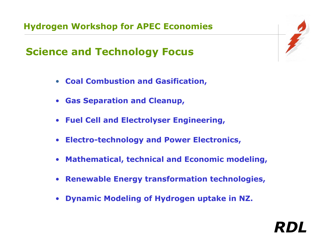## **Science and Technology Focus**

- **Coal Combustion and Gasification,**
- $\bullet$ **Gas Separation and Cleanup,**
- $\bullet$ **Fuel Cell a nd Electrolyser Engineering,**
- **Electro-technology and Power Electronics,**
- $\bullet$ **Mathematical, technical and Economic modeling,**
- $\bullet$ **Renewable Energy transformation technologies,**
- $\bullet$ **Dynamic M odeling of Hydrogen uptake in NZ.**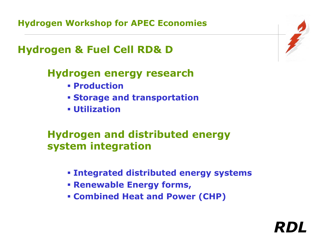#### **Hydrogen & Fuel Cell RD& D**

#### **Hydrogen energy research**

- **Production**
- **Storage and transportation**
- **Utilization**

#### **Hydrogen and distributed energy system integration**

**Integrated distributed energy systems**

- **Renewable Energy f orms ,**
- **Combined Heat and Power (CHP)**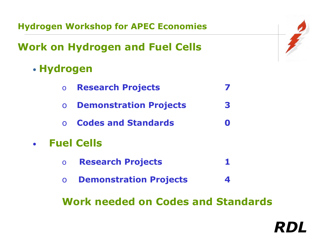# **Work on Hydrogen and Fuel Cells**

#### • **Hydrogen**

- o **Research Projects 7**
- o**Demonstration Projects 3**
- o **Codes and Standards 0**

#### •**Fuel Cells**

- o **Research Projects 1**
- o **Demonstration Projects 4**

**Work needed on Codes and Standards**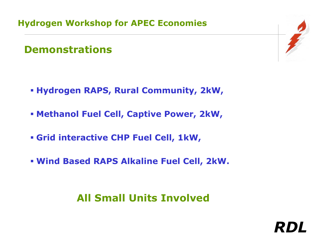#### **Demonstrations**

- **Hydrogen RAPS, Rur al Community, 2kW,**
- **Methanol Fuel Cell, Captive Power, 2kW,**
- **Grid interactive CHP Fuel Cell, 1kW,**
- **Wind Based RAPS Alkaline Fuel Cell, 2kW.**

#### **All Small Units Involved**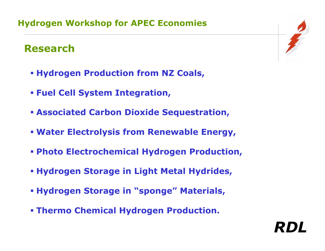#### **Research**

- **Hydrogen Production from NZ Coals,**
- **Fuel Cell System Integration,**
- **Associated Carbon Dioxide Sequestration,**
- **Water Electrolysis from Renewable Energy,**
- **Photo Electrochemical Hydrogen Production,**
- **Hydrogen Storage in Light Metal Hydrides,**
- **Hydrogen Storage in "sponge" Materials,**
- **Thermo Chemical Hydrogen Production.**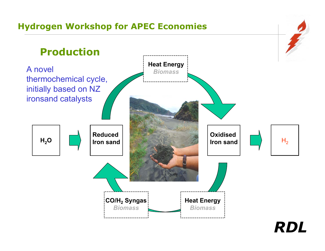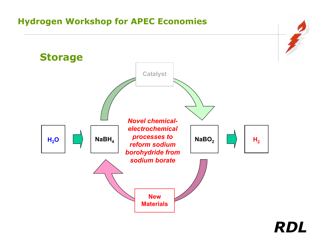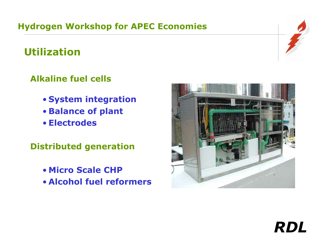# **Utilization**

#### **Alkaline fuel cells**

- **System integration**
- **Balance of plant**
- **Electrodes**

**Distributed generation**

- **Micro Scale CHP**
- **Alcohol fuel reformers**



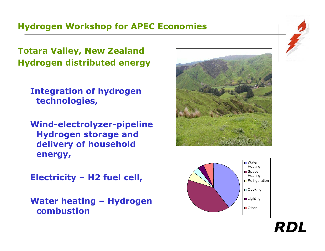**Totara Valley, New Zealand Hydrogen distributed energy**

**Integration of hydrogen technologies,**

**Wind-electrolyzer-pipeline Hydrogen storage and delivery of household energy,** 

**Electricity – H2 fuel cell,**

**Water heating – Hydrogen combustion**



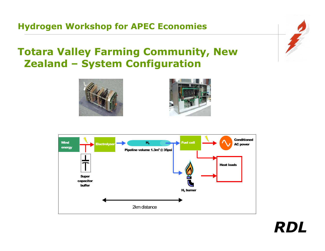#### **Totara Valley Farming Community, New Zealand – System Configuration**





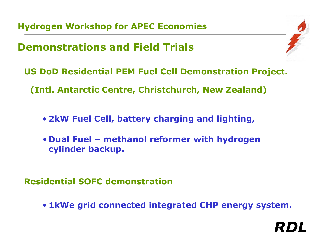## **Demonstrations and Field Trials**



- **US DoD Residential PEM Fuel Cell Demonstration Project.**
	- **(Intl. Antarctic Centre, Christchurch, New Zealand)** 
		- **2kW Fuel Cell, battery charging and lighting,**
		- **Dual Fuel – methanol reformer with hydrogen cylinder backup.**

**Residential SOFC demonstration**

• **1kWe grid connected integrated CHP energy system.**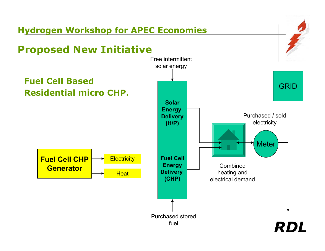